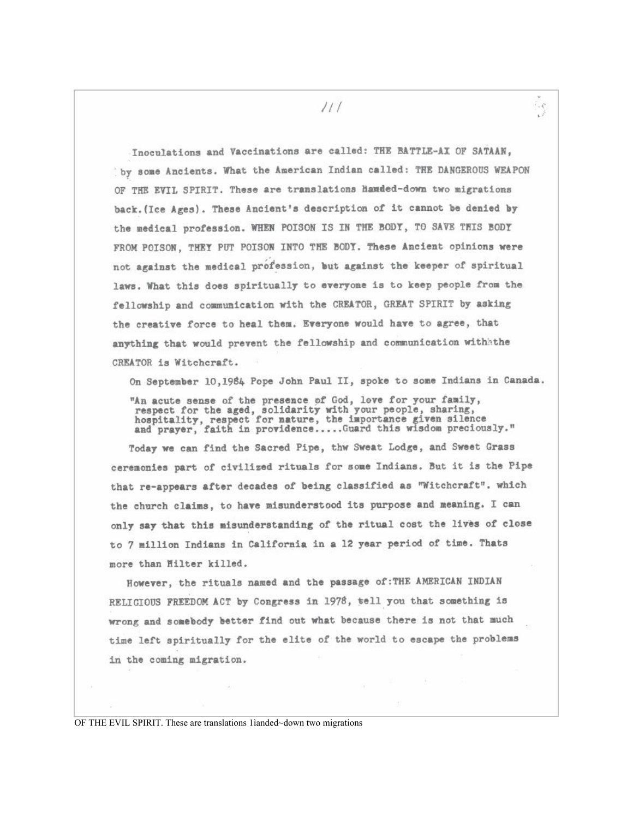Inoculations and Vaccinations are called: THE BATTLE-AX OF SATAAN. by some Ancients. What the American Indian called: THE DANGEROUS WEAPON OF THE EVIL SPIRIT. These are translations handed-down two migrations back. (Ice Ages). These Ancient's description of it cannot be denied by the medical profession. WHEN POISON IS IN THE BODY, TO SAVE THIS BODY FROM POISON. THEY PUT POISON INTO THE BODY. These Ancient opinions were not against the medical profession, but against the keeper of spiritual laws. What this does spiritually to everyone is to keep people from the fellowship and communication with the CREATOR, GREAT SPIRIT by asking the creative force to heal them. Everyone would have to agree, that anything that would prevent the fellowship and communication withithe CREATOR is Witchcraft.

On September 10,1984 Pope John Paul II, spoke to some Indians in Canada.

"An acute sense of the presence of God, love for your family,<br>respect for the aged, solidarity with your people, sharing,<br>hospitality, respect for nature, the importance given silence<br>and prayer, faith in providence....Gua

Today we can find the Sacred Pipe, thw Sweat Lodge, and Sweet Grass ceremonies part of civilized rituals for some Indians. But it is the Pipe that re-appears after decades of being classified as "Witchcraft". which the church claims, to have misunderstood its purpose and meaning. I can only say that this misunderstanding of the ritual cost the lives of close to 7 million Indians in California in a 12 year period of time. Thats more than Hilter killed.

However, the rituals named and the passage of: THE AMERICAN INDIAN RELIGIOUS FREEDOM ACT by Congress in 1978, tell you that something is wrong and somebody better find out what because there is not that much time left spiritually for the elite of the world to escape the problems in the coming migration.

OF THE EVIL SPIRIT. These are translations 1ianded~down two migrations

 $111$ 

 $\cdot$  .  $\mathcal{C}$